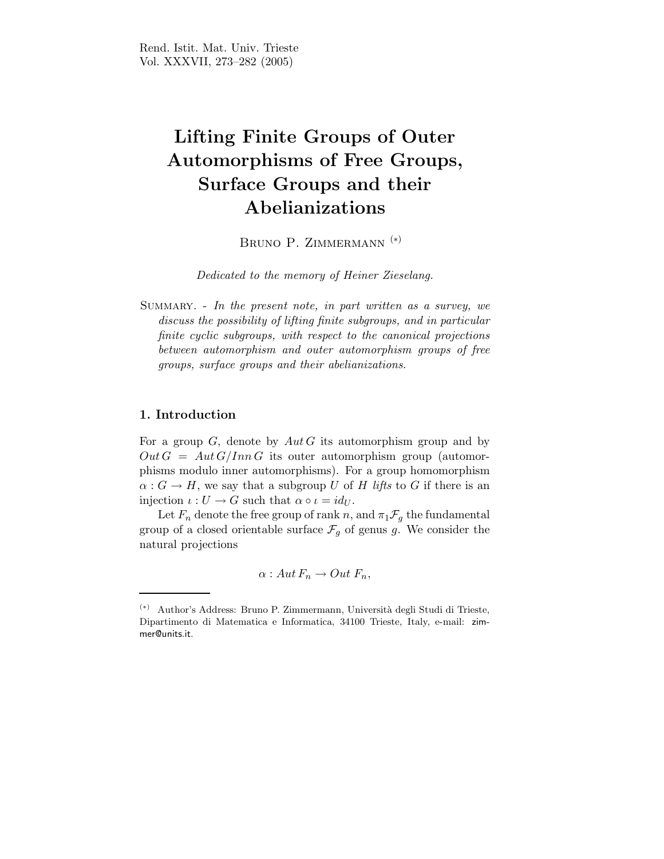# Lifting Finite Groups of Outer Automorphisms of Free Groups, Surface Groups and their Abelianizations

BRUNO P. ZIMMERMANN<sup>(\*)</sup>

Dedicated to the memory of Heiner Zieselang.

Summary. - In the present note, in part written as a survey, we discuss the possibility of lifting finite subgroups, and in particular finite cyclic subgroups, with respect to the canonical projections between automorphism and outer automorphism groups of free groups, surface groups and their abelianizations.

# 1. Introduction

For a group  $G$ , denote by  $Aut G$  its automorphism group and by  $Out G = Aut G/Inn G$  its outer automorphism group (automorphisms modulo inner automorphisms). For a group homomorphism  $\alpha: G \to H$ , we say that a subgroup U of H lifts to G if there is an injection  $\iota: U \to G$  such that  $\alpha \circ \iota = id_U$ .

Let  $F_n$  denote the free group of rank n, and  $\pi_1 \mathcal{F}_q$  the fundamental group of a closed orientable surface  $\mathcal{F}_g$  of genus g. We consider the natural projections

$$
\alpha: Aut F_n \to Out F_n,
$$

<sup>(</sup>∗) Author's Address: Bruno P. Zimmermann, Universit`a degli Studi di Trieste, Dipartimento di Matematica e Informatica, 34100 Trieste, Italy, e-mail: zimmer@units.it.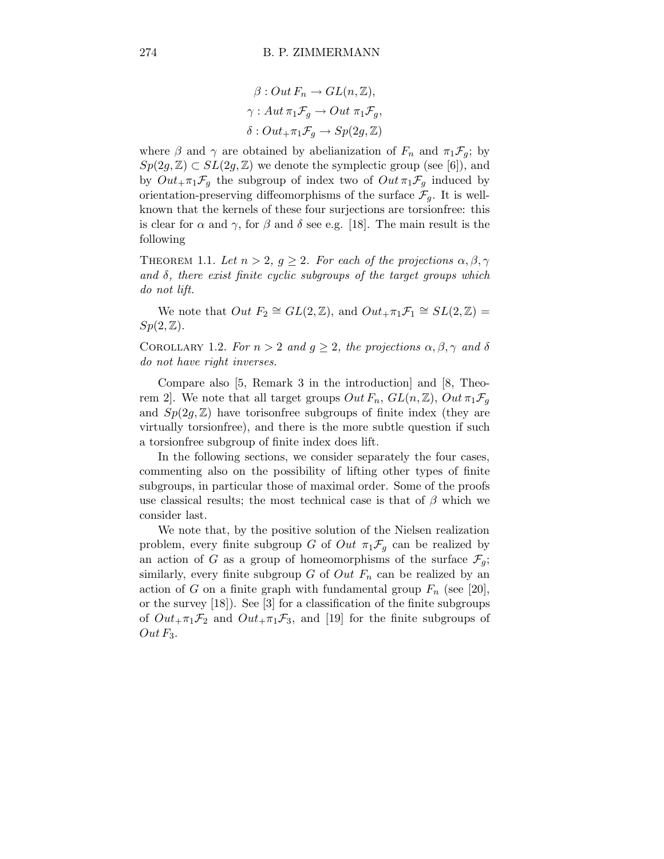$$
\beta: Out F_n \to GL(n, \mathbb{Z}),
$$
  

$$
\gamma: Aut \pi_1 \mathcal{F}_g \to Out \pi_1 \mathcal{F}_g,
$$
  

$$
\delta: Out_{+} \pi_1 \mathcal{F}_g \to Sp(2g, \mathbb{Z})
$$

where  $\beta$  and  $\gamma$  are obtained by abelianization of  $F_n$  and  $\pi_1 \mathcal{F}_g$ ; by  $Sp(2g,\mathbb{Z}) \subset SL(2g,\mathbb{Z})$  we denote the symplectic group (see [6]), and by  $Out_{+}\pi_{1}\mathcal{F}_{g}$  the subgroup of index two of  $Out\pi_{1}\mathcal{F}_{g}$  induced by orientation-preserving diffeomorphisms of the surface  $\mathcal{F}_g$ . It is wellknown that the kernels of these four surjections are torsionfree: this is clear for  $\alpha$  and  $\gamma$ , for  $\beta$  and  $\delta$  see e.g. [18]. The main result is the following

THEOREM 1.1. Let  $n > 2$ ,  $g \geq 2$ . For each of the projections  $\alpha, \beta, \gamma$ and  $\delta$ , there exist finite cyclic subgroups of the target groups which do not lift.

We note that  $Out F_2 \cong GL(2, \mathbb{Z})$ , and  $Out_{+} \pi_1 \mathcal{F}_1 \cong SL(2, \mathbb{Z}) =$  $Sp(2,\mathbb{Z})$ .

COROLLARY 1.2. For  $n > 2$  and  $g \ge 2$ , the projections  $\alpha, \beta, \gamma$  and  $\delta$ do not have right inverses.

Compare also [5, Remark 3 in the introduction] and [8, Theorem 2]. We note that all target groups  $Out F_n$ ,  $GL(n, \mathbb{Z})$ ,  $Out \pi_1 \mathcal{F}_q$ and  $Sp(2g, \mathbb{Z})$  have torisonfree subgroups of finite index (they are virtually torsionfree), and there is the more subtle question if such a torsionfree subgroup of finite index does lift.

In the following sections, we consider separately the four cases, commenting also on the possibility of lifting other types of finite subgroups, in particular those of maximal order. Some of the proofs use classical results; the most technical case is that of  $\beta$  which we consider last.

We note that, by the positive solution of the Nielsen realization problem, every finite subgroup G of Out  $\pi_1 \mathcal{F}_g$  can be realized by an action of G as a group of homeomorphisms of the surface  $\mathcal{F}_g$ ; similarly, every finite subgroup G of  $Out F_n$  can be realized by an action of G on a finite graph with fundamental group  $F_n$  (see [20], or the survey [18]). See [3] for a classification of the finite subgroups of  $Out_{+}\pi_1\mathcal{F}_2$  and  $Out_{+}\pi_1\mathcal{F}_3$ , and [19] for the finite subgroups of  $Out\,F_3$ .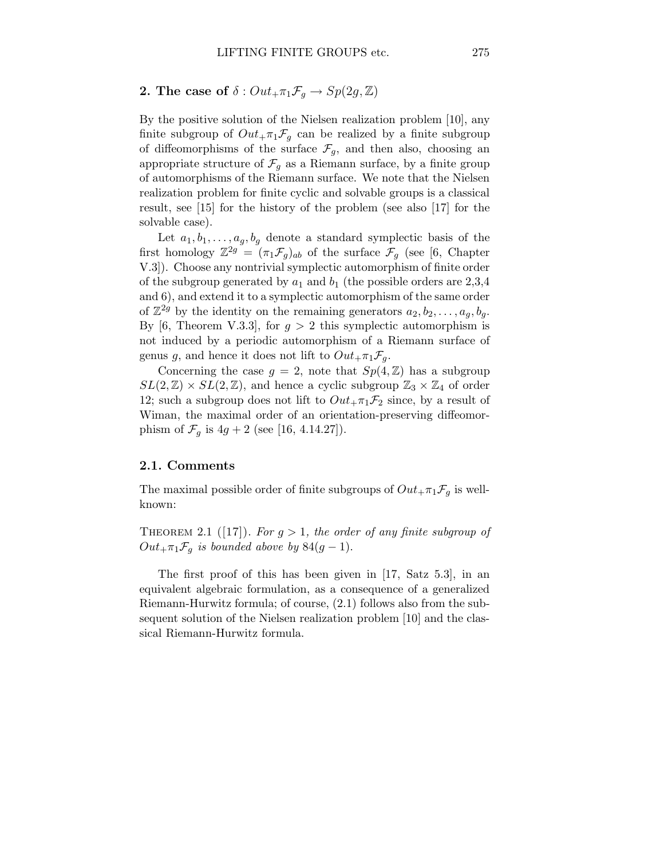2. The case of  $\delta$  :  $Out_{+} \pi_1 \mathcal{F}_q \rightarrow Sp(2g, \mathbb{Z})$ 

By the positive solution of the Nielsen realization problem [10], any finite subgroup of  $Out_{+}\pi_1\mathcal{F}_q$  can be realized by a finite subgroup of diffeomorphisms of the surface  $\mathcal{F}_q$ , and then also, choosing an appropriate structure of  $\mathcal{F}_g$  as a Riemann surface, by a finite group of automorphisms of the Riemann surface. We note that the Nielsen realization problem for finite cyclic and solvable groups is a classical result, see [15] for the history of the problem (see also [17] for the solvable case).

Let  $a_1, b_1, \ldots, a_g, b_g$  denote a standard symplectic basis of the first homology  $\mathbb{Z}^{2g} = (\pi_1 \mathcal{F}_g)_{ab}$  of the surface  $\mathcal{F}_g$  (see [6, Chapter V.3]). Choose any nontrivial symplectic automorphism of finite order of the subgroup generated by  $a_1$  and  $b_1$  (the possible orders are 2,3,4 and 6), and extend it to a symplectic automorphism of the same order of  $\mathbb{Z}^{2g}$  by the identity on the remaining generators  $a_2, b_2, \ldots, a_g, b_g$ . By [6, Theorem V.3.3], for  $g > 2$  this symplectic automorphism is not induced by a periodic automorphism of a Riemann surface of genus g, and hence it does not lift to  $Out_{+}\pi_{1}\mathcal{F}_{q}$ .

Concerning the case  $g = 2$ , note that  $Sp(4, \mathbb{Z})$  has a subgroup  $SL(2,\mathbb{Z}) \times SL(2,\mathbb{Z})$ , and hence a cyclic subgroup  $\mathbb{Z}_3 \times \mathbb{Z}_4$  of order 12; such a subgroup does not lift to  $Out_{+}\pi_1\mathcal{F}_2$  since, by a result of Wiman, the maximal order of an orientation-preserving diffeomorphism of  $\mathcal{F}_q$  is  $4g + 2$  (see [16, 4.14.27]).

## 2.1. Comments

The maximal possible order of finite subgroups of  $Out_{+}\pi_1\mathcal{F}_g$  is wellknown:

THEOREM 2.1 ([17]). For  $g > 1$ , the order of any finite subgroup of  $Out_{+}\pi_1\mathcal{F}_g$  is bounded above by  $84(g-1)$ .

The first proof of this has been given in [17, Satz 5.3], in an equivalent algebraic formulation, as a consequence of a generalized Riemann-Hurwitz formula; of course, (2.1) follows also from the subsequent solution of the Nielsen realization problem [10] and the classical Riemann-Hurwitz formula.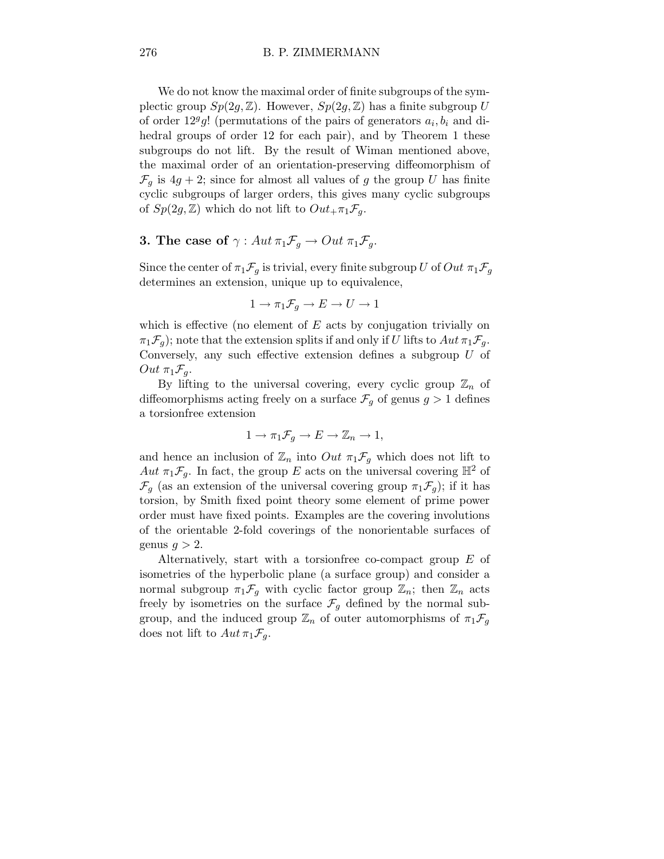We do not know the maximal order of finite subgroups of the symplectic group  $Sp(2g, \mathbb{Z})$ . However,  $Sp(2g, \mathbb{Z})$  has a finite subgroup U of order  $12^g g!$  (permutations of the pairs of generators  $a_i, b_i$  and dihedral groups of order 12 for each pair), and by Theorem 1 these subgroups do not lift. By the result of Wiman mentioned above, the maximal order of an orientation-preserving diffeomorphism of  $\mathcal{F}_g$  is  $4g + 2$ ; since for almost all values of g the group U has finite cyclic subgroups of larger orders, this gives many cyclic subgroups of  $Sp(2g, \mathbb{Z})$  which do not lift to  $Out_{+}\pi_{1}\mathcal{F}_{q}$ .

# **3.** The case of  $\gamma$  :  $Aut \pi_1 \mathcal{F}_q \to Out \pi_1 \mathcal{F}_q$ .

Since the center of  $\pi_1 \mathcal{F}_q$  is trivial, every finite subgroup U of Out  $\pi_1 \mathcal{F}_q$ determines an extension, unique up to equivalence,

$$
1 \to \pi_1 \mathcal{F}_g \to E \to U \to 1
$$

which is effective (no element of  $E$  acts by conjugation trivially on  $\pi_1\mathcal{F}_q$ ; note that the extension splits if and only if U lifts to  $Aut\pi_1\mathcal{F}_q$ . Conversely, any such effective extension defines a subgroup  $U$  of  $Out \pi_1 \mathcal{F}_q.$ 

By lifting to the universal covering, every cyclic group  $\mathbb{Z}_n$  of diffeomorphisms acting freely on a surface  $\mathcal{F}_q$  of genus  $g > 1$  defines a torsionfree extension

$$
1 \to \pi_1 \mathcal{F}_g \to E \to \mathbb{Z}_n \to 1,
$$

and hence an inclusion of  $\mathbb{Z}_n$  into  $Out \pi_1 \mathcal{F}_q$  which does not lift to Aut  $\pi_1 \mathcal{F}_g$ . In fact, the group E acts on the universal covering  $\mathbb{H}^2$  of  $\mathcal{F}_g$  (as an extension of the universal covering group  $\pi_1 \mathcal{F}_g$ ); if it has torsion, by Smith fixed point theory some element of prime power order must have fixed points. Examples are the covering involutions of the orientable 2-fold coverings of the nonorientable surfaces of genus  $q > 2$ .

Alternatively, start with a torsionfree co-compact group E of isometries of the hyperbolic plane (a surface group) and consider a normal subgroup  $\pi_1 \mathcal{F}_g$  with cyclic factor group  $\mathbb{Z}_n$ ; then  $\mathbb{Z}_n$  acts freely by isometries on the surface  $\mathcal{F}_g$  defined by the normal subgroup, and the induced group  $\mathbb{Z}_n$  of outer automorphisms of  $\pi_1 \mathcal{F}_g$ does not lift to  $Aut \pi_1 \mathcal{F}_q$ .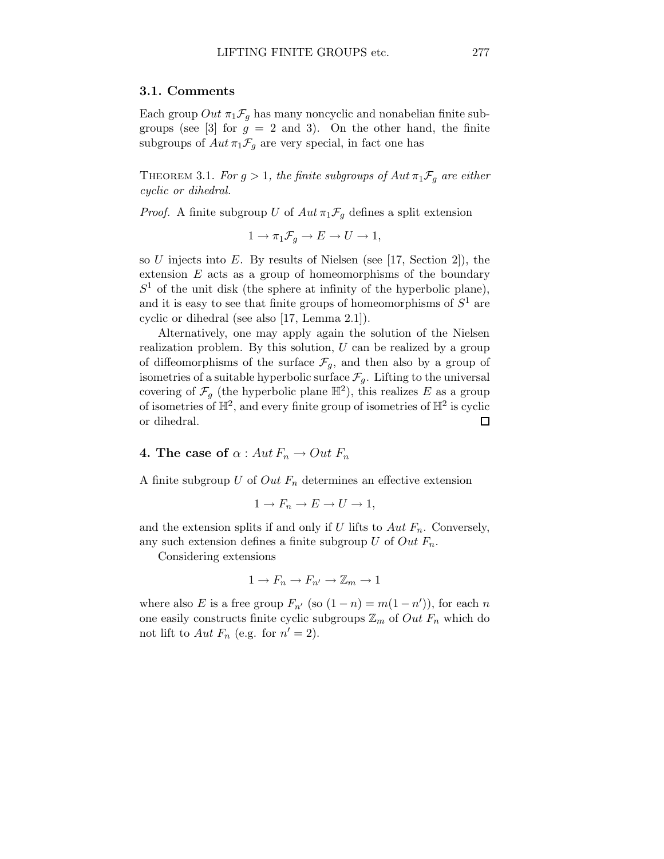#### 3.1. Comments

Each group  $Out \pi_1 \mathcal{F}_q$  has many noncyclic and nonabelian finite subgroups (see [3] for  $g = 2$  and 3). On the other hand, the finite subgroups of  $Aut \pi_1 \mathcal{F}_q$  are very special, in fact one has

THEOREM 3.1. For  $g > 1$ , the finite subgroups of  $Aut \pi_1 \mathcal{F}_q$  are either cyclic or dihedral.

*Proof.* A finite subgroup U of  $Aut \pi_1 \mathcal{F}_g$  defines a split extension

$$
1 \to \pi_1 \mathcal{F}_g \to E \to U \to 1,
$$

so U injects into E. By results of Nielsen (see [17, Section 2]), the extension  $E$  acts as a group of homeomorphisms of the boundary  $S<sup>1</sup>$  of the unit disk (the sphere at infinity of the hyperbolic plane), and it is easy to see that finite groups of homeomorphisms of  $S^1$  are cyclic or dihedral (see also [17, Lemma 2.1]).

Alternatively, one may apply again the solution of the Nielsen realization problem. By this solution,  $U$  can be realized by a group of diffeomorphisms of the surface  $\mathcal{F}_g$ , and then also by a group of isometries of a suitable hyperbolic surface  $\mathcal{F}_g$ . Lifting to the universal covering of  $\mathcal{F}_g$  (the hyperbolic plane  $\mathbb{H}^2$ ), this realizes E as a group of isometries of  $\mathbb{H}^2$ , and every finite group of isometries of  $\mathbb{H}^2$  is cyclic or dihedral.  $\Box$ 

4. The case of  $\alpha$  : Aut  $F_n \to Out \ F_n$ 

A finite subgroup  $U$  of  $Out F_n$  determines an effective extension

$$
1 \to F_n \to E \to U \to 1,
$$

and the extension splits if and only if U lifts to  $Aut F_n$ . Conversely, any such extension defines a finite subgroup U of Out  $F_n$ .

Considering extensions

$$
1 \to F_n \to F_{n'} \to \mathbb{Z}_m \to 1
$$

where also E is a free group  $F_{n'}$  (so  $(1 - n) = m(1 - n')$ ), for each n one easily constructs finite cyclic subgroups  $\mathbb{Z}_m$  of  $Out F_n$  which do not lift to  $Aut F_n$  (e.g. for  $n' = 2$ ).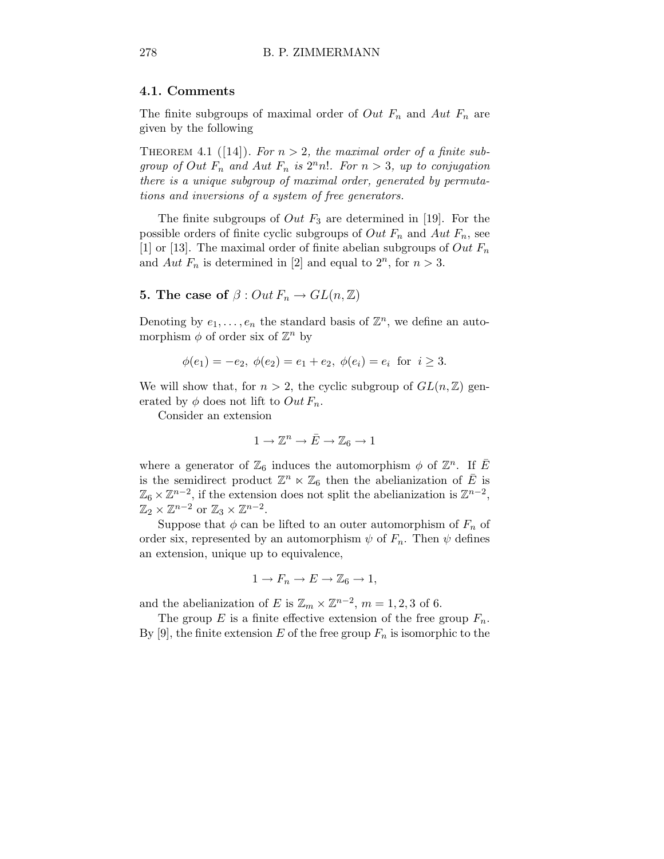#### 4.1. Comments

The finite subgroups of maximal order of *Out*  $F_n$  and *Aut*  $F_n$  are given by the following

THEOREM 4.1 ([14]). For  $n > 2$ , the maximal order of a finite subgroup of Out  $F_n$  and Aut  $F_n$  is  $2^n n!$ . For  $n > 3$ , up to conjugation there is a unique subgroup of maximal order, generated by permutations and inversions of a system of free generators.

The finite subgroups of *Out*  $F_3$  are determined in [19]. For the possible orders of finite cyclic subgroups of  $Out F_n$  and  $Aut F_n$ , see [1] or [13]. The maximal order of finite abelian subgroups of  $Out F_n$ and Aut  $F_n$  is determined in [2] and equal to  $2^n$ , for  $n > 3$ .

# **5.** The case of  $\beta$  :  $Out F_n \to GL(n, \mathbb{Z})$

Denoting by  $e_1, \ldots, e_n$  the standard basis of  $\mathbb{Z}^n$ , we define an automorphism  $\phi$  of order six of  $\mathbb{Z}^n$  by

$$
\phi(e_1) = -e_2, \ \phi(e_2) = e_1 + e_2, \ \phi(e_i) = e_i \ \text{ for } \ i \geq 3.
$$

We will show that, for  $n > 2$ , the cyclic subgroup of  $GL(n, \mathbb{Z})$  generated by  $\phi$  does not lift to  $Out F_n$ .

Consider an extension

$$
1\to \mathbb{Z}^n\to \bar{E}\to \mathbb{Z}_6\to 1
$$

where a generator of  $\mathbb{Z}_6$  induces the automorphism  $\phi$  of  $\mathbb{Z}^n$ . If  $\overline{E}$ is the semidirect product  $\mathbb{Z}^n \ltimes \mathbb{Z}_6$  then the abelianization of  $\overline{E}$  is  $\mathbb{Z}_6 \times \mathbb{Z}^{n-2}$ , if the extension does not split the abelianization is  $\mathbb{Z}^{n-2}$ ,  $\mathbb{Z}_2 \times \mathbb{Z}^{n-2}$  or  $\mathbb{Z}_3 \times \mathbb{Z}^{n-2}$ .

Suppose that  $\phi$  can be lifted to an outer automorphism of  $F_n$  of order six, represented by an automorphism  $\psi$  of  $F_n$ . Then  $\psi$  defines an extension, unique up to equivalence,

$$
1 \to F_n \to E \to \mathbb{Z}_6 \to 1,
$$

and the abelianization of E is  $\mathbb{Z}_m \times \mathbb{Z}^{n-2}$ ,  $m = 1, 2, 3$  of 6.

The group  $E$  is a finite effective extension of the free group  $F_n$ . By [9], the finite extension E of the free group  $F_n$  is isomorphic to the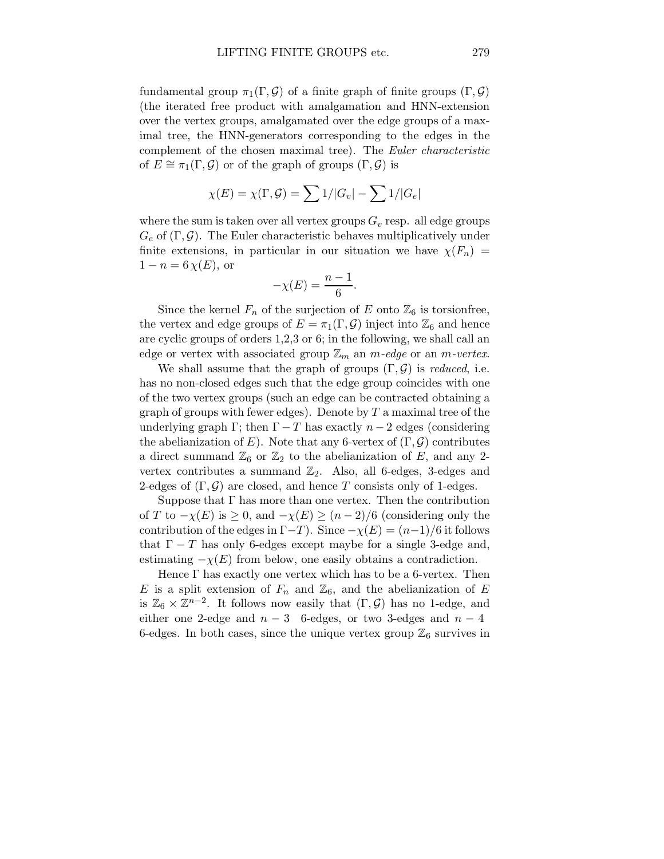fundamental group  $\pi_1(\Gamma, \mathcal{G})$  of a finite graph of finite groups  $(\Gamma, \mathcal{G})$ (the iterated free product with amalgamation and HNN-extension over the vertex groups, amalgamated over the edge groups of a maximal tree, the HNN-generators corresponding to the edges in the complement of the chosen maximal tree). The Euler characteristic of  $E \cong \pi_1(\Gamma, \mathcal{G})$  or of the graph of groups  $(\Gamma, \mathcal{G})$  is

$$
\chi(E) = \chi(\Gamma, \mathcal{G}) = \sum 1/|G_v| - \sum 1/|G_e|
$$

where the sum is taken over all vertex groups  $G_v$  resp. all edge groups  $G_e$  of  $(\Gamma, \mathcal{G})$ . The Euler characteristic behaves multiplicatively under finite extensions, in particular in our situation we have  $\chi(F_n)$  =  $1 - n = 6 \chi(E)$ , or

$$
-\chi(E) = \frac{n-1}{6}.
$$

Since the kernel  $F_n$  of the surjection of E onto  $\mathbb{Z}_6$  is torsionfree, the vertex and edge groups of  $E = \pi_1(\Gamma, \mathcal{G})$  inject into  $\mathbb{Z}_6$  and hence are cyclic groups of orders 1,2,3 or 6; in the following, we shall call an edge or vertex with associated group  $\mathbb{Z}_m$  an m-edge or an m-vertex.

We shall assume that the graph of groups  $(\Gamma, \mathcal{G})$  is reduced, i.e. has no non-closed edges such that the edge group coincides with one of the two vertex groups (such an edge can be contracted obtaining a graph of groups with fewer edges). Denote by  $T$  a maximal tree of the underlying graph Γ; then  $\Gamma - T$  has exactly  $n - 2$  edges (considering the abelianization of E). Note that any 6-vertex of  $(\Gamma, \mathcal{G})$  contributes a direct summand  $\mathbb{Z}_6$  or  $\mathbb{Z}_2$  to the abelianization of E, and any 2vertex contributes a summand  $\mathbb{Z}_2$ . Also, all 6-edges, 3-edges and 2-edges of  $(\Gamma, \mathcal{G})$  are closed, and hence T consists only of 1-edges.

Suppose that  $\Gamma$  has more than one vertex. Then the contribution of T to  $-\chi(E)$  is  $\geq 0$ , and  $-\chi(E) \geq (n-2)/6$  (considering only the contribution of the edges in  $\Gamma-T$ ). Since  $-\chi(E) = (n-1)/6$  it follows that  $\Gamma - T$  has only 6-edges except maybe for a single 3-edge and, estimating  $-\chi(E)$  from below, one easily obtains a contradiction.

Hence Γ has exactly one vertex which has to be a 6-vertex. Then E is a split extension of  $F_n$  and  $\mathbb{Z}_6$ , and the abelianization of E is  $\mathbb{Z}_6 \times \mathbb{Z}^{n-2}$ . It follows now easily that  $(\Gamma, \mathcal{G})$  has no 1-edge, and either one 2-edge and  $n-3$  6-edges, or two 3-edges and  $n-4$ 6-edges. In both cases, since the unique vertex group  $\mathbb{Z}_6$  survives in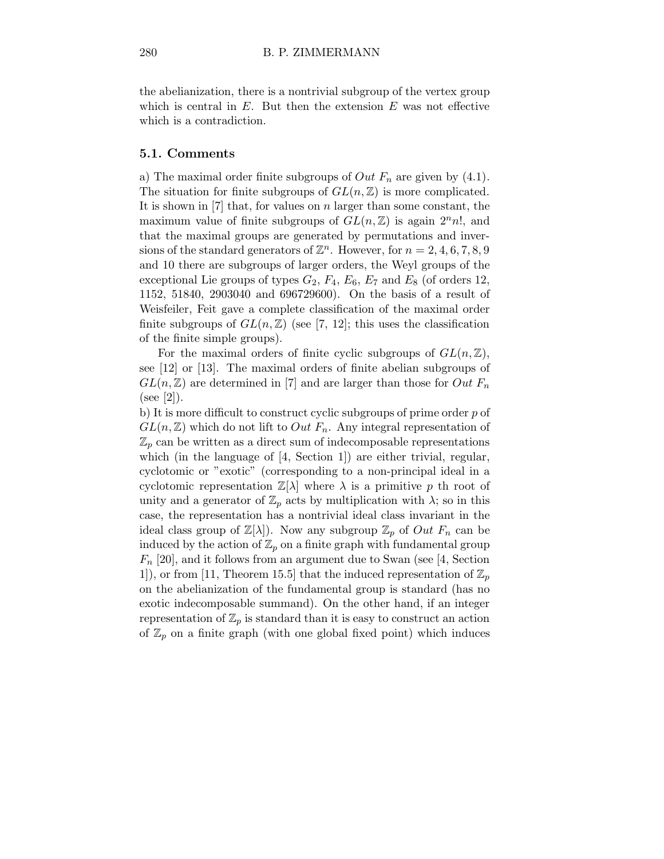the abelianization, there is a nontrivial subgroup of the vertex group which is central in  $E$ . But then the extension  $E$  was not effective which is a contradiction.

### 5.1. Comments

a) The maximal order finite subgroups of  $Out F_n$  are given by (4.1). The situation for finite subgroups of  $GL(n,\mathbb{Z})$  is more complicated. It is shown in  $[7]$  that, for values on n larger than some constant, the maximum value of finite subgroups of  $GL(n,\mathbb{Z})$  is again  $2<sup>n</sup>n!$ , and that the maximal groups are generated by permutations and inversions of the standard generators of  $\mathbb{Z}^n$ . However, for  $n = 2, 4, 6, 7, 8, 9$ and 10 there are subgroups of larger orders, the Weyl groups of the exceptional Lie groups of types  $G_2$ ,  $F_4$ ,  $E_6$ ,  $E_7$  and  $E_8$  (of orders 12, 1152, 51840, 2903040 and 696729600). On the basis of a result of Weisfeiler, Feit gave a complete classification of the maximal order finite subgroups of  $GL(n,\mathbb{Z})$  (see [7, 12]; this uses the classification of the finite simple groups).

For the maximal orders of finite cyclic subgroups of  $GL(n,\mathbb{Z})$ , see [12] or [13]. The maximal orders of finite abelian subgroups of  $GL(n,\mathbb{Z})$  are determined in [7] and are larger than those for Out  $F_n$  $(see [2]).$ 

b) It is more difficult to construct cyclic subgroups of prime order p of  $GL(n,\mathbb{Z})$  which do not lift to  $Out F_n$ . Any integral representation of  $\mathbb{Z}_p$  can be written as a direct sum of indecomposable representations which (in the language of [4, Section 1]) are either trivial, regular, cyclotomic or "exotic" (corresponding to a non-principal ideal in a cyclotomic representation  $\mathbb{Z}[\lambda]$  where  $\lambda$  is a primitive p th root of unity and a generator of  $\mathbb{Z}_p$  acts by multiplication with  $\lambda$ ; so in this case, the representation has a nontrivial ideal class invariant in the ideal class group of  $\mathbb{Z}[\lambda]$ . Now any subgroup  $\mathbb{Z}_p$  of  $Out F_n$  can be induced by the action of  $\mathbb{Z}_p$  on a finite graph with fundamental group  $F_n$  [20], and it follows from an argument due to Swan (see [4, Section 1]), or from [11, Theorem 15.5] that the induced representation of  $\mathbb{Z}_p$ on the abelianization of the fundamental group is standard (has no exotic indecomposable summand). On the other hand, if an integer representation of  $\mathbb{Z}_p$  is standard than it is easy to construct an action of  $\mathbb{Z}_p$  on a finite graph (with one global fixed point) which induces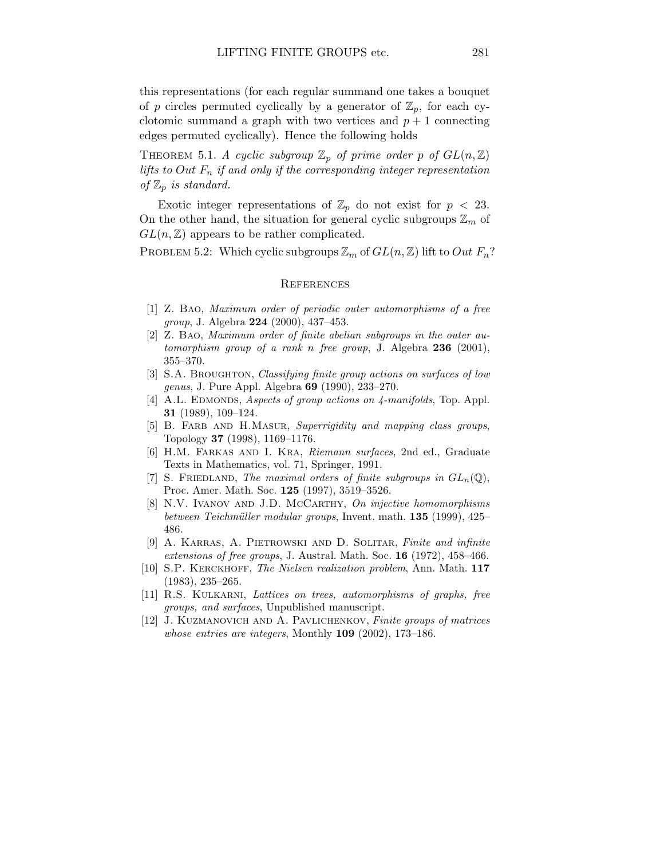this representations (for each regular summand one takes a bouquet of p circles permuted cyclically by a generator of  $\mathbb{Z}_p$ , for each cyclotomic summand a graph with two vertices and  $p + 1$  connecting edges permuted cyclically). Hence the following holds

THEOREM 5.1. A cyclic subgroup  $\mathbb{Z}_p$  of prime order p of  $GL(n,\mathbb{Z})$ lifts to Out  $F_n$  if and only if the corresponding integer representation of  $\mathbb{Z}_p$  is standard.

Exotic integer representations of  $\mathbb{Z}_p$  do not exist for  $p < 23$ . On the other hand, the situation for general cyclic subgroups  $\mathbb{Z}_m$  of  $GL(n,\mathbb{Z})$  appears to be rather complicated.

PROBLEM 5.2: Which cyclic subgroups  $\mathbb{Z}_m$  of  $GL(n,\mathbb{Z})$  lift to Out  $F_n$ ?

#### **REFERENCES**

- [1] Z. Bao, Maximum order of periodic outer automorphisms of a free group, J. Algebra 224 (2000), 437–453.
- [2] Z. Bao, Maximum order of finite abelian subgroups in the outer automorphism group of a rank n free group, J. Algebra  $236$  (2001), 355–370.
- [3] S.A. BROUGHTON, Classifying finite group actions on surfaces of low genus, J. Pure Appl. Algebra 69 (1990), 233–270.
- [4] A.L. EDMONDS, Aspects of group actions on  $\lambda$ -manifolds, Top. Appl. 31 (1989), 109–124.
- [5] B. FARB AND H.MASUR, Superrigidity and mapping class groups, Topology 37 (1998), 1169–1176.
- [6] H.M. Farkas and I. Kra, Riemann surfaces, 2nd ed., Graduate Texts in Mathematics, vol. 71, Springer, 1991.
- [7] S. FRIEDLAND, The maximal orders of finite subgroups in  $GL_n(\mathbb{Q})$ , Proc. Amer. Math. Soc. 125 (1997), 3519–3526.
- [8] N.V. IVANOV AND J.D. McCARTHY, On injective homomorphisms between Teichmüller modular groups, Invent. math.  $135$  (1999), 425– 486.
- [9] A. KARRAS, A. PIETROWSKI AND D. SOLITAR, Finite and infinite extensions of free groups, J. Austral. Math. Soc. 16 (1972), 458–466.
- [10] S.P. KERCKHOFF, *The Nielsen realization problem*, Ann. Math. 117 (1983), 235–265.
- [11] R.S. Kulkarni, Lattices on trees, automorphisms of graphs, free groups, and surfaces, Unpublished manuscript.
- [12] J. KUZMANOVICH AND A. PAVLICHENKOV, Finite groups of matrices whose entries are integers, Monthly 109 (2002), 173-186.